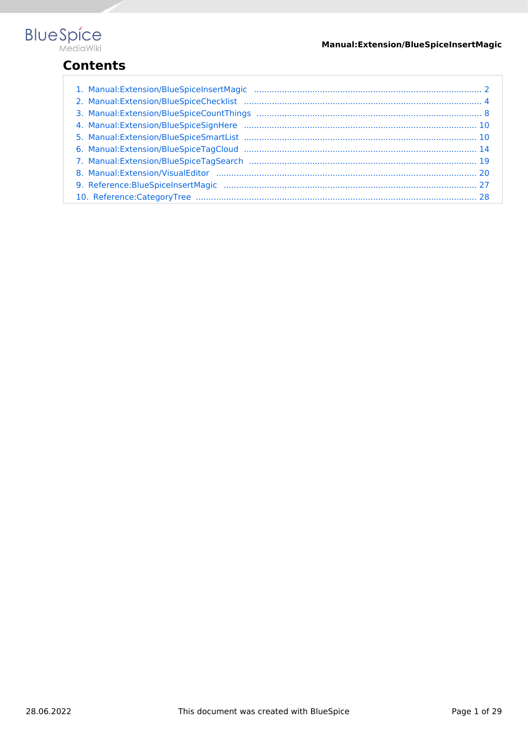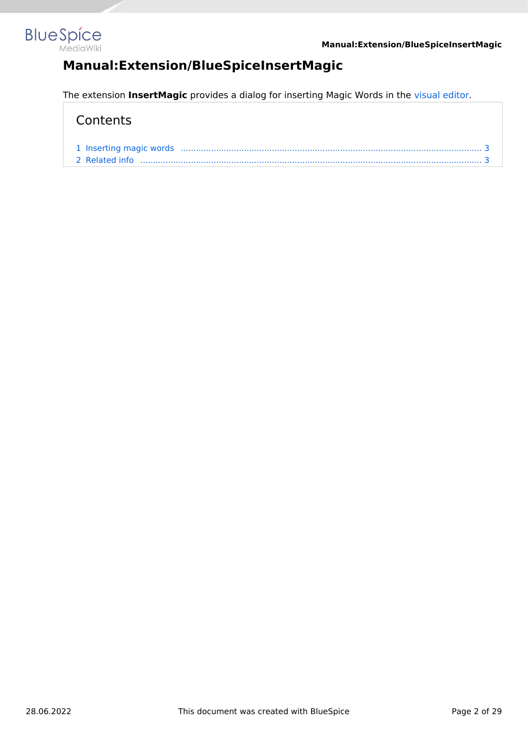<span id="page-1-0"></span>

# **Manual:Extension/BlueSpiceInsertMagic**

The extension **InsertMagic** provides a dialog for inserting Magic Words in the [visual editor.](#page-19-0)

| 2 Related info |  |
|----------------|--|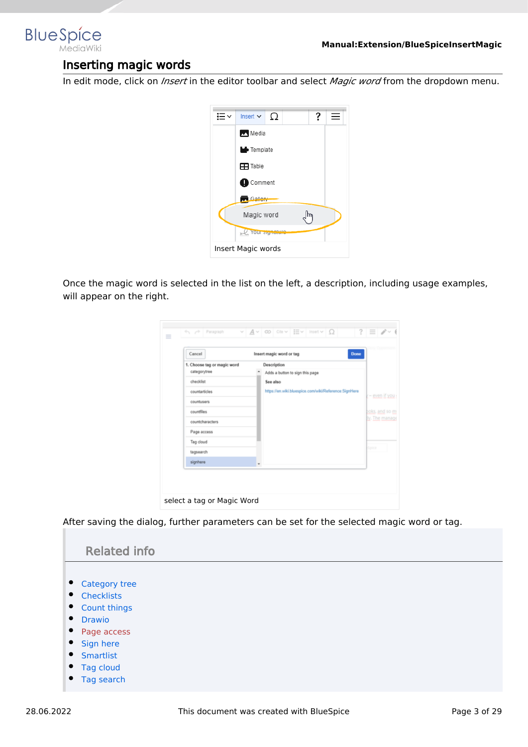<span id="page-2-0"></span>

### Inserting magic words

In edit mode, click on *Insert* in the editor toolbar and select *Magic word* from the dropdown menu.



Once the magic word is selected in the list on the left, a description, including usage examples, will appear on the right.

| 1. Choose tag or magic word | Insert magic word or tag<br><b>Done</b><br>Description |
|-----------------------------|--------------------------------------------------------|
| categorytree                | Adds a button to sign this page                        |
| checklist                   | See also                                               |
| countarticles<br>countusers | https://en.wiki.bluespice.com/wiki/Reference:SignHere  |
| countfiles                  |                                                        |
| countcharacters             |                                                        |
| Page access                 |                                                        |
| Tag cloud                   |                                                        |
| tagsearch                   |                                                        |
| signhere                    |                                                        |

After saving the dialog, further parameters can be set for the selected magic word or tag.

<span id="page-2-1"></span>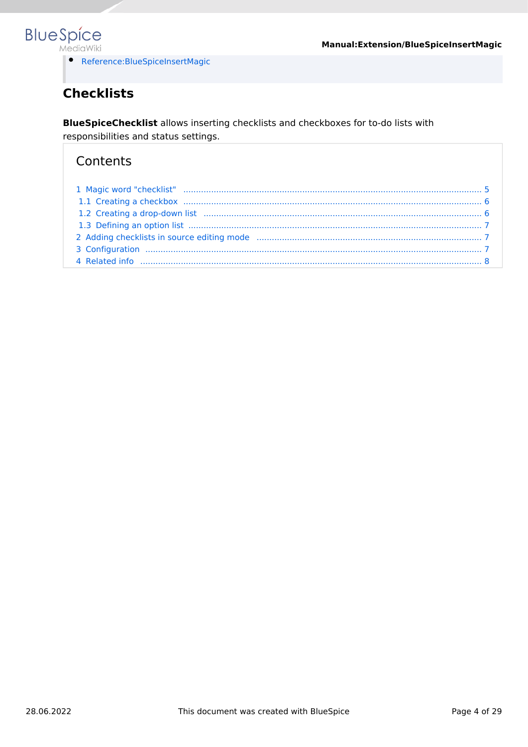

[Reference:BlueSpiceInsertMagic](#page-26-0)

# <span id="page-3-0"></span>**Checklists**

**BlueSpiceChecklist** allows inserting checklists and checkboxes for to-do lists with responsibilities and status settings.

| 1.2 Creating a drop-down list manufactured and continuum manufactured and the form of the Creating a drop-down list |  |
|---------------------------------------------------------------------------------------------------------------------|--|
|                                                                                                                     |  |
|                                                                                                                     |  |
|                                                                                                                     |  |
|                                                                                                                     |  |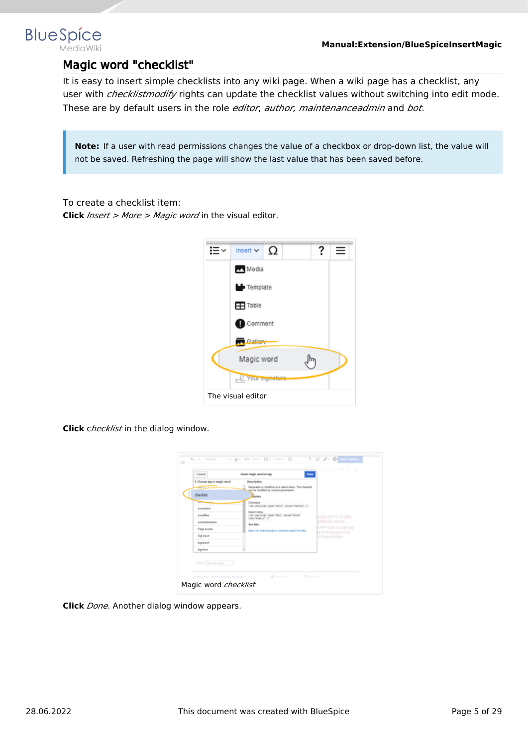<span id="page-4-0"></span>

### Magic word "checklist"

It is easy to insert simple checklists into any wiki page. When a wiki page has a checklist, any user with *checklistmodify* rights can update the checklist values without switching into edit mode. These are by default users in the role *editor*, *author, maintenanceadmin* and *bot*.

**Note:** If a user with read permissions changes the value of a checkbox or drop-down list, the value will not be saved. Refreshing the page will show the last value that has been saved before.

To create a checklist item:

**Click** *Insert > More > Magic word* in the visual editor.



**Click** c*hecklist* in the dialog window.

| checklist<br>counturers<br>countiles<br>countriburactors<br>Page access<br>Tag-cloud<br>tegrearch<br>signiture | Generates a checkbox or a select menu. The checklist<br>can be modified by various parameters.<br><b>B</b> ucks<br>Checkbox<br>distributilist type="check" value="checked" /><br>Select menu<br>connectibit type="list" value="Wine"<br>Hate"Status" /><br>See also<br>https://en.help.bluespice.com/index.php/Checklist | ended with lots of useful<br>indring and security.<br>scellent basis to make your<br>to all the features of our<br>all the possibilities |
|----------------------------------------------------------------------------------------------------------------|--------------------------------------------------------------------------------------------------------------------------------------------------------------------------------------------------------------------------------------------------------------------------------------------------------------------------|------------------------------------------------------------------------------------------------------------------------------------------|
|----------------------------------------------------------------------------------------------------------------|--------------------------------------------------------------------------------------------------------------------------------------------------------------------------------------------------------------------------------------------------------------------------------------------------------------------------|------------------------------------------------------------------------------------------------------------------------------------------|

**Click** *Done*. Another dialog window appears.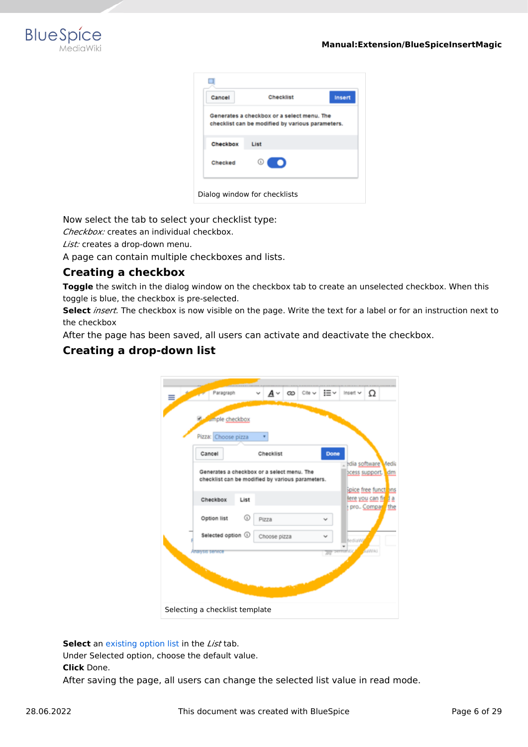

| Cancel   | <b>Checklist</b>                                                                               | Insert |
|----------|------------------------------------------------------------------------------------------------|--------|
|          | Generates a checkbox or a select menu. The<br>checklist can be modified by various parameters. |        |
| Checkbox | List                                                                                           |        |
| Checked  | ⊙<br>∍                                                                                         |        |

Now select the tab to select your checklist type:

*Checkbox:* creates an individual checkbox.

*List:* creates a drop-down menu.

A page can contain multiple checkboxes and lists.

#### <span id="page-5-0"></span>**Creating a checkbox**

**Toggle** the switch in the dialog window on the checkbox tab to create an unselected checkbox. When this toggle is blue, the checkbox is pre-selected.

**Select** *insert.* The checkbox is now visible on the page. Write the text for a label or for an instruction next to the checkbox

After the page has been saved, all users can activate and deactivate the checkbox.

#### <span id="page-5-1"></span>**Creating a drop-down list**

| Paragraph                      | A۰<br>Cite v<br>ඟ                                                                              | i≡∽<br>Ω<br>Insert v                                             |
|--------------------------------|------------------------------------------------------------------------------------------------|------------------------------------------------------------------|
| umple checkbox                 |                                                                                                |                                                                  |
| Pizza: Choose pizza            |                                                                                                |                                                                  |
| Cancel                         | Checklist                                                                                      | Done                                                             |
|                                | Generates a checkbox or a select menu. The<br>checklist can be modified by various parameters. | edia software Media<br>bcess support. dm<br>Spice free funct ans |
| Checkbox<br>List               |                                                                                                | lere you can fit 1 a                                             |
| ⊙<br>Option list               | Pizza                                                                                          | pro. Compar the                                                  |
| Selected option 1              | Choose pizza                                                                                   | fediaWy                                                          |
| Analysis service               |                                                                                                | <b>ASWA)</b><br><b>SUTTERFIEL</b><br>w                           |
|                                |                                                                                                |                                                                  |
|                                |                                                                                                |                                                                  |
| Selecting a checklist template |                                                                                                |                                                                  |

**Select** an [existing option list](#page-6-0) in the *List* tab.

Under Selected option, choose the default value.

**Click** Done.

After saving the page, all users can change the selected list value in read mode.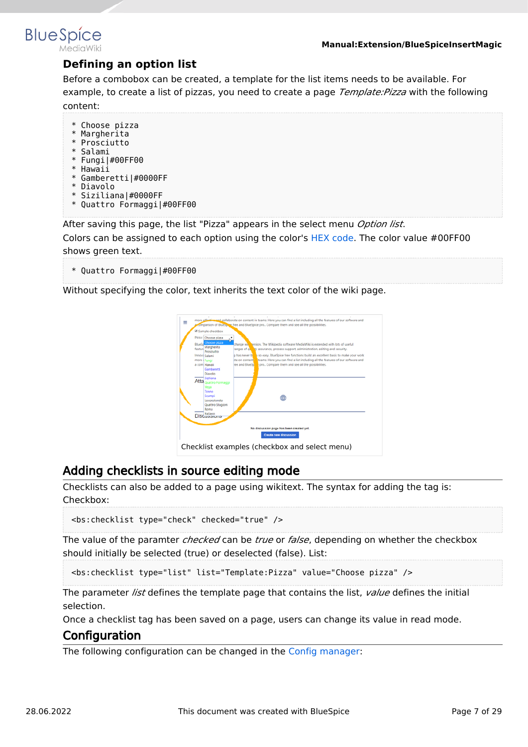<span id="page-6-0"></span>

### **Defining an option list**

Before a combobox can be created, a template for the list items needs to be available. For example, to create a list of pizzas, you need to create a page *Template:Pizza* with the following content:

- \* Choose pizza
- \* Margherita
- \* Prosciutto
- \* Salami
- \* Fungi|#00FF00 \* Hawaii
- \* Gamberetti|#0000FF
- \* Diavolo
- \* Siziliana|#0000FF
- \* Quattro Formaggi|#00FF00

After saving this page, the list "Pizza" appears in the select menu *Option list*.

Colors can be assigned to each option using the color's [HEX code.](https://en.wikipedia.org/wiki/Web_colors) The color value #00FF00 shows green text.

\* Quattro Formaggi|#00FF00

Without specifying the color, text inherits the text color of the wiki page.



### <span id="page-6-1"></span>Adding checklists in source editing mode

Checklists can also be added to a page using wikitext. The syntax for adding the tag is: Checkbox:

```
<bs:checklist type="check" checked="true" />
```
The value of the paramter *checked* can be *true* or *false*, depending on whether the checkbox should initially be selected (true) or deselected (false). List:

<bs:checklist type="list" list="Template:Pizza" value="Choose pizza" />

The parameter *list* defines the template page that contains the list, *value* defines the initial selection.

Once a checklist tag has been saved on a page, users can change its value in read mode.

#### <span id="page-6-2"></span>Configuration

The following configuration can be changed in the [Config manager:](https://en.wiki.bluespice.com/wiki/Manual:Extension/BlueSpiceConfigManager)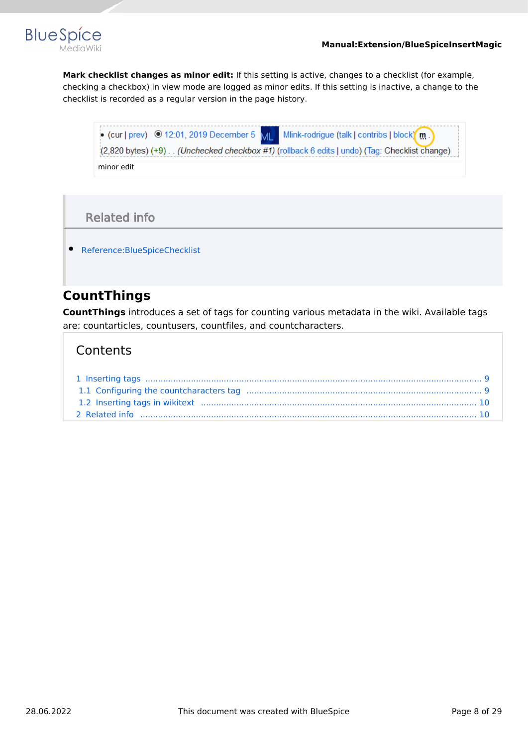



**Mark checklist changes as minor edit:** If this setting is active, changes to a checklist (for example, checking a checkbox) in view mode are logged as minor edits. If this setting is inactive, a change to the checklist is recorded as a regular version in the page history.



### Related info

<span id="page-7-1"></span>[Reference:BlueSpiceChecklist](https://en.wiki.bluespice.com/wiki/Reference:BlueSpiceChecklist)

# <span id="page-7-0"></span>**CountThings**

**CountThings** introduces a set of tags for counting various metadata in the wiki. Available tags are: countarticles, countusers, countfiles, and countcharacters.

| 1.2 Inserting tags in wikitext manufactured and the set of the state of the state of the state of the state of |  |
|----------------------------------------------------------------------------------------------------------------|--|
|                                                                                                                |  |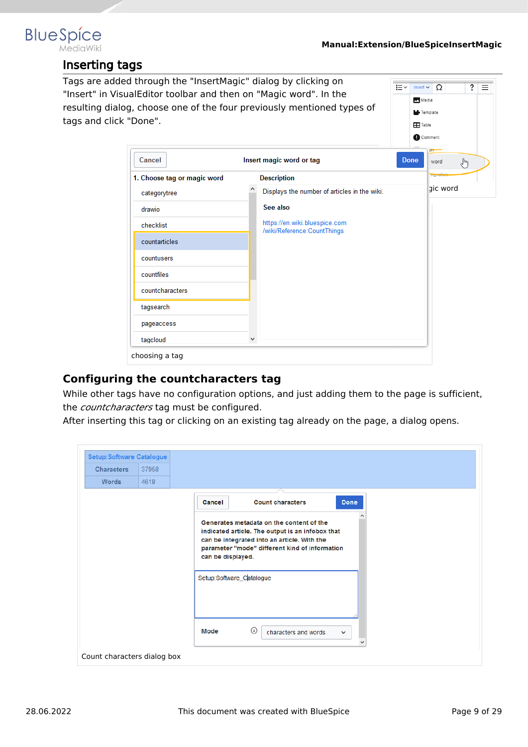<span id="page-8-0"></span>

### Inserting tags

| tags and click "Done".      |                                                              | <b>Table</b><br>Comment |                           |
|-----------------------------|--------------------------------------------------------------|-------------------------|---------------------------|
| Cancel                      | Insert magic word or tag                                     | <b>Done</b>             | $^{\rm{up}}$<br>word<br>♨ |
| 1. Choose tag or magic word | <b>Description</b>                                           |                         | olymo                     |
| categorytree                | Displays the number of articles in the wiki.                 |                         | gic word                  |
| drawio                      | See also                                                     |                         |                           |
| checklist                   | https://en.wiki.bluespice.com<br>/wiki/Reference:CountThings |                         |                           |
| countarticles               |                                                              |                         |                           |
| countusers                  |                                                              |                         |                           |
| countfiles                  |                                                              |                         |                           |
| countcharacters             |                                                              |                         |                           |
| tagsearch                   |                                                              |                         |                           |
| pageaccess                  |                                                              |                         |                           |
|                             | v                                                            |                         |                           |

#### <span id="page-8-1"></span>**Configuring the countcharacters tag**

While other tags have no configuration options, and just adding them to the page is sufficient, the *countcharacters* tag must be configured.

After inserting this tag or clicking on an existing tag already on the page, a dialog opens.

| <b>Setup: Software Catalogue</b> |       |                                                                                                                                                                                                                    |
|----------------------------------|-------|--------------------------------------------------------------------------------------------------------------------------------------------------------------------------------------------------------------------|
| <b>Characters</b>                | 37958 |                                                                                                                                                                                                                    |
| <b>Words</b>                     | 4618  |                                                                                                                                                                                                                    |
|                                  |       | <b>Count characters</b><br>Done<br>Cancel                                                                                                                                                                          |
|                                  |       | Generates metadata on the content of the<br>indicated article. The output is an infobox that<br>can be integrated into an article. With the<br>parameter "mode" different kind of information<br>can be displayed. |
|                                  |       | Setup:Software_Catalogue                                                                                                                                                                                           |
|                                  |       | $\odot$<br>Mode<br>characters and words<br>$\checkmark$                                                                                                                                                            |
| Count characters dialog box      |       |                                                                                                                                                                                                                    |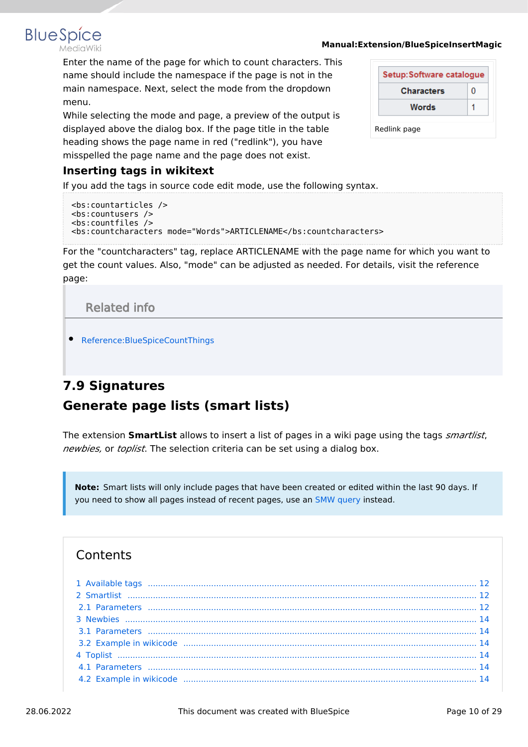#### **Manual:Extension/BlueSpiceInsertMagic**

Enter the name of the page for which to count characters. This name should include the namespace if the page is not in the main namespace. Next, select the mode from the dropdown menu.

While selecting the mode and page, a preview of the output is displayed above the dialog box. If the page title in the table heading shows the page name in red ("redlink"), you have misspelled the page name and the page does not exist.

| Setup:Software catalogue |  |
|--------------------------|--|
| <b>Characters</b>        |  |
| Words                    |  |

#### <span id="page-9-2"></span>**Inserting tags in wikitext**

**BlueSpice** 

If you add the tags in source code edit mode, use the following syntax.

```
<bs:countarticles />
<bs:countusers />
<bs:countfiles />
<bs:countcharacters mode="Words">ARTICLENAME</bs:countcharacters>
```
For the "countcharacters" tag, replace ARTICLENAME with the page name for which you want to get the count values. Also, "mode" can be adjusted as needed. For details, visit the reference page:

Related info

<span id="page-9-3"></span>[Reference:BlueSpiceCountThings](https://en.wiki.bluespice.com/wiki/Reference:BlueSpiceCountThings)

# <span id="page-9-1"></span><span id="page-9-0"></span>**7.9 Signatures Generate page lists (smart lists)**

The extension **SmartList** allows to insert a list of pages in a wiki page using the tags *smartlist*, *newbies,* or *toplist*. The selection criteria can be set using a dialog box.

**Note:** Smart lists will only include pages that have been created or edited within the last 90 days. If you need to show all pages instead of recent pages, use an [SMW query](https://en.wiki.bluespice.com/wiki/SMW_queries) instead.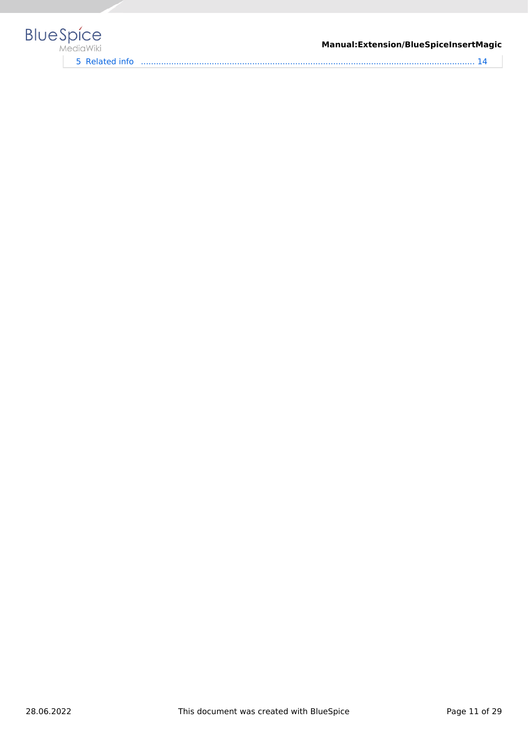

#### **Manual:Extension/BlueSpiceInsertMagic**

5 [Related info .................................................................................................................................... 14](#page-13-7)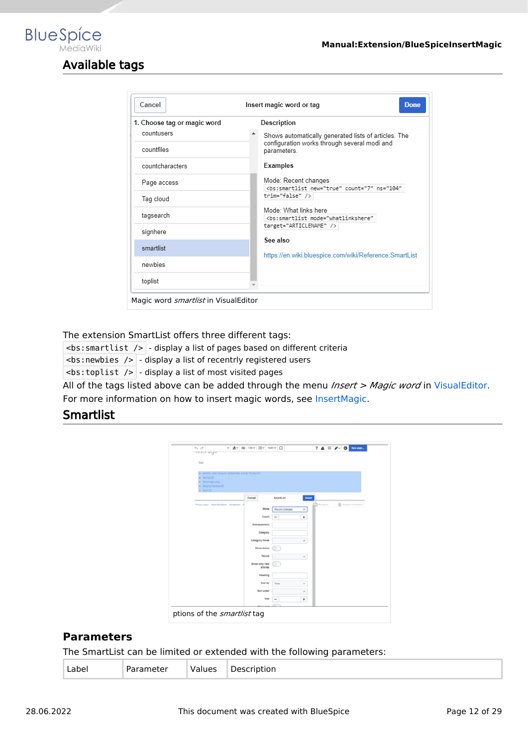### Available tags

<span id="page-11-0"></span>**BlueSpice** 

| Cancel                      | Insert magic word or tag<br><b>Done</b>                                                        |  |  |
|-----------------------------|------------------------------------------------------------------------------------------------|--|--|
| 1. Choose tag or magic word | Description                                                                                    |  |  |
| countusers                  | Shows automatically generated lists of articles. The                                           |  |  |
| countfiles                  | configuration works through several modi and<br>parameters.                                    |  |  |
| countcharacters             | Examples                                                                                       |  |  |
| Page access                 | Mode: Recent changes<br><bs:smartlist <="" count="7" new="true" ns="104" td=""></bs:smartlist> |  |  |
| Tag cloud                   | trim="false" />                                                                                |  |  |
| tagsearch                   | Mode: What links here<br><bs:smartlist <="" mode="whatlinkshere" td=""></bs:smartlist>         |  |  |
| signhere                    | target="ARTICLENAME" />                                                                        |  |  |
| smartlist                   | See also<br>https://en.wiki.bluespice.com/wiki/Reference:SmartList                             |  |  |
| newbies                     |                                                                                                |  |  |
| toplist                     |                                                                                                |  |  |

The extension SmartList offers three different tags:

 $\leq$ bs: smartlist />  $\sim$  display a list of pages based on different criteria

**:newbies />**  $-$  **display a list of recentrly registered users** 

 $\langle$ bs:toplist />  $\vert$  - display a list of most visited pages

All of the tags listed above can be added through the menu *Insert > Magic word* in [VisualEditor](#page-19-0). For more information on how to insert magic words, see [InsertMagic.](#page-1-0)

#### <span id="page-11-1"></span>**Smartlist**

| $+$ $+$<br><b>TESTI UYE</b>    |                                                        | $\vee$ $A \vee$ co ca $\vee$ He wat $\Omega$ |                           |                          |           | $? A \equiv A \cdot 0$               |
|--------------------------------|--------------------------------------------------------|----------------------------------------------|---------------------------|--------------------------|-----------|--------------------------------------|
|                                |                                                        |                                              |                           |                          |           |                                      |
| Test                           |                                                        |                                              |                           |                          |           |                                      |
|                                |                                                        |                                              |                           |                          |           |                                      |
|                                | . (Article edit) Testuser edited the article Testian30 |                                              |                           |                          |           |                                      |
| · Testian30<br>· Fileimage.png |                                                        |                                              |                           |                          |           |                                      |
| · (Article) Testlan30          |                                                        |                                              |                           |                          |           |                                      |
| $-$ Test123                    |                                                        |                                              |                           |                          |           |                                      |
|                                |                                                        | Cancel                                       |                           | SmartList                | Insert    |                                      |
|                                | Privacy policy About BlueSpice Disclaimers             |                                              |                           |                          |           | $-2$ Buelpice<br>S Semantic Mediumni |
|                                |                                                        |                                              | Mode                      | Recent changes           | $\omega$  |                                      |
|                                |                                                        |                                              | Count                     | $\overline{\phantom{a}}$ | $\ddot{}$ |                                      |
|                                |                                                        |                                              | Namespace(s)              |                          |           |                                      |
|                                |                                                        |                                              |                           |                          |           |                                      |
|                                |                                                        |                                              | Category                  |                          |           |                                      |
|                                |                                                        |                                              | Category mode             |                          | $\omega$  |                                      |
|                                |                                                        |                                              | <b>Show minor</b>         |                          |           |                                      |
|                                |                                                        |                                              | Period                    |                          |           |                                      |
|                                |                                                        |                                              |                           | $\sim$                   | $\omega$  |                                      |
|                                |                                                        |                                              | Show only new<br>articles |                          |           |                                      |
|                                |                                                        |                                              | Heading                   |                          |           |                                      |
|                                |                                                        |                                              |                           |                          |           |                                      |
|                                |                                                        |                                              | Sort by                   | Time                     | $\omega$  |                                      |
|                                |                                                        |                                              | Sort order                |                          | v         |                                      |
|                                |                                                        |                                              | Trim                      |                          | $+$       |                                      |
|                                |                                                        |                                              |                           |                          |           |                                      |
|                                |                                                        |                                              |                           |                          |           |                                      |

#### <span id="page-11-2"></span>**Parameters**

The SmartList can be limited or extended with the following parameters:

|  |  | - 11<br>____<br>___ | ues | -<br>-<br>. | ∟abel<br>_____ |  |
|--|--|---------------------|-----|-------------|----------------|--|
|--|--|---------------------|-----|-------------|----------------|--|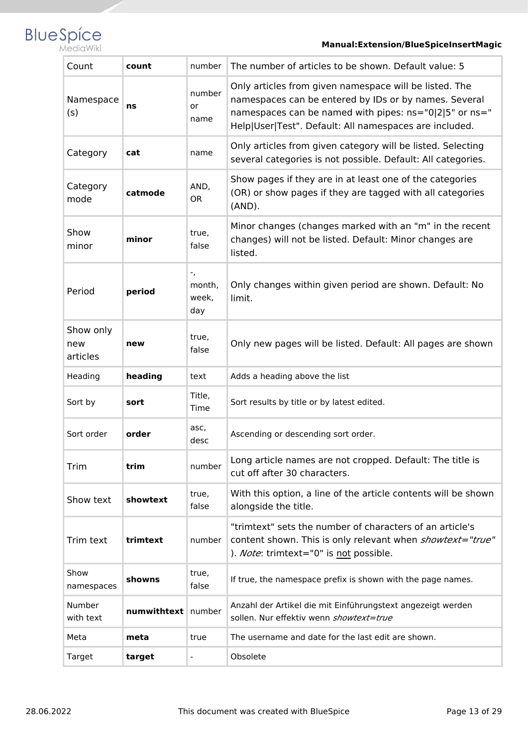

#### **Manual:Extension/BlueSpiceInsertMagic**

| Count                        | count       | number                       | The number of articles to be shown. Default value: 5                                                                                                                                                                                |
|------------------------------|-------------|------------------------------|-------------------------------------------------------------------------------------------------------------------------------------------------------------------------------------------------------------------------------------|
| Namespace<br>(s)             | ns          | number<br>or<br>name         | Only articles from given namespace will be listed. The<br>namespaces can be entered by IDs or by names. Several<br>namespaces can be named with pipes: ns="0 2 5" or ns="<br>Help User Test". Default: All namespaces are included. |
| Category                     | cat         | name                         | Only articles from given category will be listed. Selecting<br>several categories is not possible. Default: All categories.                                                                                                         |
| Category<br>mode             | catmode     | AND,<br><b>OR</b>            | Show pages if they are in at least one of the categories<br>(OR) or show pages if they are tagged with all categories<br>$(AND)$ .                                                                                                  |
| Show<br>minor                | minor       | true,<br>false               | Minor changes (changes marked with an "m" in the recent<br>changes) will not be listed. Default: Minor changes are<br>listed.                                                                                                       |
| Period                       | period      | ۰,<br>month,<br>week.<br>day | Only changes within given period are shown. Default: No<br>limit.                                                                                                                                                                   |
| Show only<br>new<br>articles | new         | true,<br>false               | Only new pages will be listed. Default: All pages are shown                                                                                                                                                                         |
| Heading                      | heading     | text                         | Adds a heading above the list                                                                                                                                                                                                       |
| Sort by                      | sort        | Title,<br>Time               | Sort results by title or by latest edited.                                                                                                                                                                                          |
| Sort order                   | order       | asc,<br>desc                 | Ascending or descending sort order.                                                                                                                                                                                                 |
| Trim                         | trim        | number                       | Long article names are not cropped. Default: The title is<br>cut off after 30 characters.                                                                                                                                           |
| Show text                    | showtext    | true,<br>false               | With this option, a line of the article contents will be shown<br>alongside the title.                                                                                                                                              |
| Trim text                    | trimtext    | number                       | "trimtext" sets the number of characters of an article's<br>content shown. This is only relevant when showtext="true"<br>). Note: trimtext="0" is not possible.                                                                     |
| Show<br>namespaces           | showns      | true,<br>false               | If true, the namespace prefix is shown with the page names.                                                                                                                                                                         |
| Number<br>with text          | numwithtext | number                       | Anzahl der Artikel die mit Einführungstext angezeigt werden<br>sollen. Nur effektiv wenn showtext=true                                                                                                                              |
| Meta                         | meta        | true                         | The username and date for the last edit are shown.                                                                                                                                                                                  |
| Target                       | target      | $\overline{\phantom{a}}$     | Obsolete                                                                                                                                                                                                                            |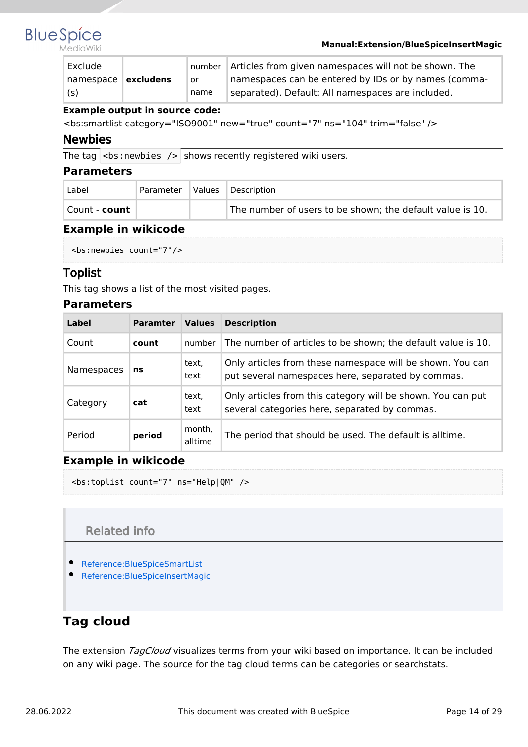

#### MediaWiki

#### **Manual:Extension/BlueSpiceInsertMagic**

| Exclude               |      | number   Articles from given namespaces will not be shown. The |
|-----------------------|------|----------------------------------------------------------------|
| namespace   excludens | or   | namespaces can be entered by IDs or by names (comma-           |
| (s)                   | name | separated). Default: All namespaces are included.              |

#### **Example output in source code:**

<bs:smartlist category="ISO9001" new="true" count="7" ns="104" trim="false" />

#### <span id="page-13-1"></span>Newbies

The tag  $|$  <br : newbies /> shows recently registered wiki users.

#### <span id="page-13-2"></span>**Parameters**

| Label                | Parameter | Values | Description                                               |
|----------------------|-----------|--------|-----------------------------------------------------------|
| Count - <b>count</b> |           |        | The number of users to be shown; the default value is 10. |

#### <span id="page-13-3"></span>**Example in wikicode**

```
<bs:newbies count="7"/>
```
#### <span id="page-13-4"></span>Toplist

This tag shows a list of the most visited pages.

#### <span id="page-13-5"></span>**Parameters**

| Label      | <b>Paramter</b> | <b>Values</b>     | <b>Description</b>                                                                                             |
|------------|-----------------|-------------------|----------------------------------------------------------------------------------------------------------------|
| Count      | count           | number            | The number of articles to be shown; the default value is 10.                                                   |
| Namespaces | ns              | text,<br>text     | Only articles from these namespace will be shown. You can<br>put several namespaces here, separated by commas. |
| Category   | cat             | text,<br>text     | Only articles from this category will be shown. You can put<br>several categories here, separated by commas.   |
| Period     | period          | month,<br>alltime | The period that should be used. The default is alltime.                                                        |

#### <span id="page-13-6"></span>**Example in wikicode**

<bs:toplist count="7" ns="Help|QM" />

### Related info

- <span id="page-13-7"></span>[Reference:BlueSpiceSmartList](https://en.wiki.bluespice.com/wiki/Reference:BlueSpiceSmartList)
- [Reference:BlueSpiceInsertMagic](#page-26-0)

# <span id="page-13-0"></span>**Tag cloud**

The extension *TagCloud* visualizes terms from your wiki based on importance. It can be included on any wiki page. The source for the tag cloud terms can be categories or searchstats.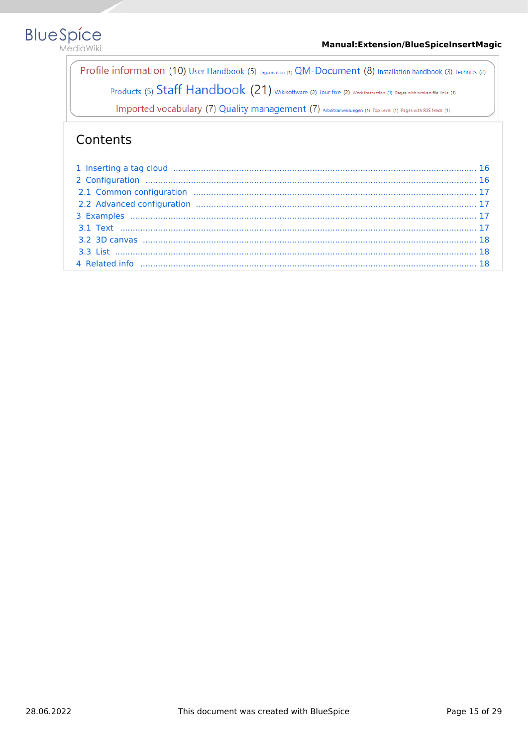

Profile information (10) User Handbook (5) organisation (1) QM-Document (8) Installation handbook (3) Technics (2) Products (5) Staff Handbook (21) wikisoftware (2) Jour fixe (2) Work instruction (1) Pages with broken file links (1)

Imported vocabulary (7) Quality management (7) Arbeitsanweisungen (1) Top Level (1) Pages with RSS feeds (1)

| 1 Inserting a tag cloud manufacture and the control of the control of the control of the control of the control of the control of the control of the control of the control of the control of the control of the control of th |  |
|--------------------------------------------------------------------------------------------------------------------------------------------------------------------------------------------------------------------------------|--|
|                                                                                                                                                                                                                                |  |
|                                                                                                                                                                                                                                |  |
|                                                                                                                                                                                                                                |  |
|                                                                                                                                                                                                                                |  |
|                                                                                                                                                                                                                                |  |
|                                                                                                                                                                                                                                |  |
|                                                                                                                                                                                                                                |  |
|                                                                                                                                                                                                                                |  |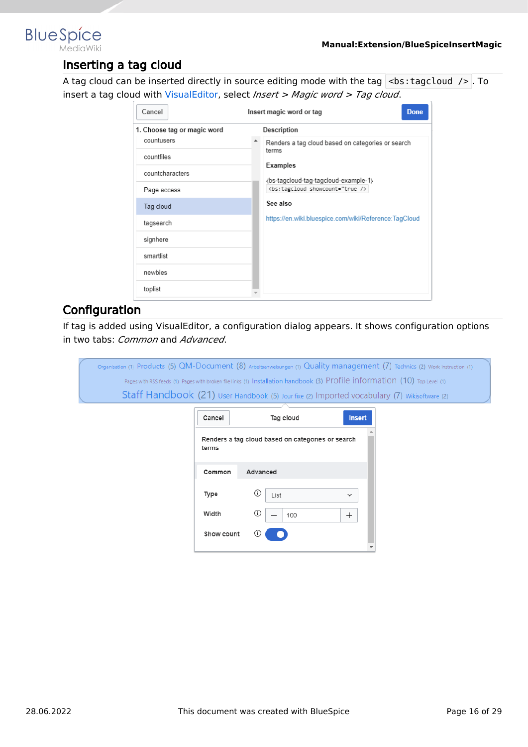<span id="page-15-0"></span>

### Inserting a tag cloud

A tag cloud can be inserted directly in source editing mode with the tag  $\vert$  <br/>bs: tagcloud />. To insert a tag cloud with [VisualEditor,](#page-19-0) select *Insert > Magic word > Tag cloud*.

| Cancel                      | Insert magic word or tag<br><b>Done</b> |                                                       |  |  |  |
|-----------------------------|-----------------------------------------|-------------------------------------------------------|--|--|--|
| 1. Choose tag or magic word |                                         | Description                                           |  |  |  |
| countusers                  |                                         | Renders a tag cloud based on categories or search     |  |  |  |
| countfiles                  |                                         | terms                                                 |  |  |  |
| countcharacters             |                                         | Examples<br>{bs-tagcloud-tag-tagcloud-example-1}      |  |  |  |
| Page access                 |                                         | <bs:tagcloud showcount="true />                       |  |  |  |
| Tag cloud                   |                                         | See also                                              |  |  |  |
| tagsearch                   |                                         | https://en.wiki.bluespice.com/wiki/Reference:TagCloud |  |  |  |
| signhere                    |                                         |                                                       |  |  |  |
| smartlist                   |                                         |                                                       |  |  |  |
| newbies                     |                                         |                                                       |  |  |  |
| toplist                     |                                         |                                                       |  |  |  |

### <span id="page-15-1"></span>**Configuration**

If tag is added using VisualEditor, a configuration dialog appears. It shows configuration options in two tabs: *Common* and *Advanced*.

| Organisation (1) Products (5) QM-Document (8) Arbeitsanweisungen (1) Quality management (7) Technics (2) Work instruction (1) |            |                                                                                                                            |               |  |
|-------------------------------------------------------------------------------------------------------------------------------|------------|----------------------------------------------------------------------------------------------------------------------------|---------------|--|
|                                                                                                                               |            | Pages with RSS feeds (1) Pages with broken file links (1) Installation handbook (3) Profile information (10) Top Level (1) |               |  |
|                                                                                                                               |            | Staff Handbook (21) User Handbook (5) Jour fixe (2) Imported vocabulary (7) Wikisoftware (2)                               |               |  |
|                                                                                                                               | Cancel     | Tag cloud                                                                                                                  | <b>Insert</b> |  |
|                                                                                                                               | terms      | Renders a tag cloud based on categories or search                                                                          |               |  |
|                                                                                                                               | Common     | Advanced                                                                                                                   |               |  |
|                                                                                                                               | Type       | ⊙<br>List                                                                                                                  | $\check{ }$   |  |
|                                                                                                                               | Width      | ⊙<br>100                                                                                                                   | $\pm$         |  |
|                                                                                                                               | Show count | (i)                                                                                                                        |               |  |
|                                                                                                                               |            |                                                                                                                            |               |  |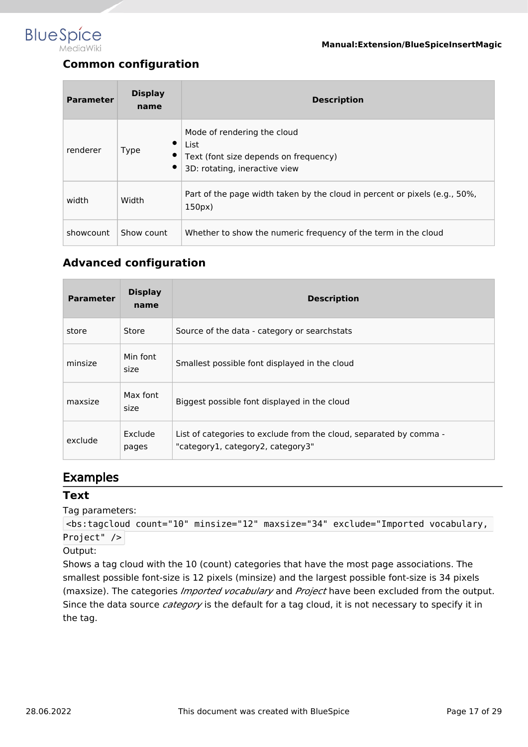<span id="page-16-0"></span>

# **Common configuration**

| <b>Parameter</b> | <b>Display</b><br>name | <b>Description</b>                                                                                            |
|------------------|------------------------|---------------------------------------------------------------------------------------------------------------|
| renderer         | ٠<br><b>Type</b><br>٠  | Mode of rendering the cloud<br>List<br>Text (font size depends on frequency)<br>3D: rotating, ineractive view |
| width            | Width                  | Part of the page width taken by the cloud in percent or pixels (e.g., 50%,<br>150px                           |
| showcount        | Show count             | Whether to show the numeric frequency of the term in the cloud                                                |

### <span id="page-16-1"></span>**Advanced configuration**

| <b>Parameter</b> | <b>Display</b><br>name | <b>Description</b>                                                                                      |
|------------------|------------------------|---------------------------------------------------------------------------------------------------------|
| store            | Store                  | Source of the data - category or searchstats                                                            |
| minsize          | Min font<br>size       | Smallest possible font displayed in the cloud                                                           |
| maxsize          | Max font<br>size       | Biggest possible font displayed in the cloud                                                            |
| exclude          | Exclude<br>pages       | List of categories to exclude from the cloud, separated by comma -<br>"category1, category2, category3" |

### <span id="page-16-2"></span>Examples

#### <span id="page-16-3"></span>**Text**

Tag parameters:

```
<bs:tagcloud count="10" minsize="12" maxsize="34" exclude="Imported vocabulary, 
Project" />
```
Output:

Shows a tag cloud with the 10 (count) categories that have the most page associations. The smallest possible font-size is 12 pixels (minsize) and the largest possible font-size is 34 pixels (maxsize). The categories *Imported vocabulary* and *Project* have been excluded from the output. Since the data source *category* is the default for a tag cloud, it is not necessary to specify it in the tag.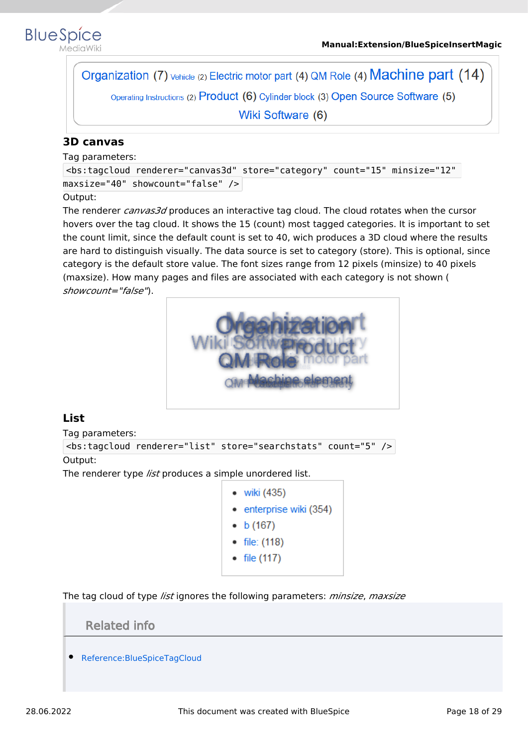

ediaWiki

Organization (7) vehicle (2) Electric motor part (4) QM Role (4) Machine part (14) Operating Instructions (2) Product (6) Cylinder block (3) Open Source Software (5) Wiki Software (6)

#### <span id="page-17-0"></span>**3D canvas**

Tag parameters:

<bs:tagcloud renderer="canvas3d" store="category" count="15" minsize="12" maxsize="40" showcount="false" />

#### Output:

The renderer *canvas3d* produces an interactive tag cloud. The cloud rotates when the cursor hovers over the tag cloud. It shows the 15 (count) most tagged categories. It is important to set the count limit, since the default count is set to 40, wich produces a 3D cloud where the results are hard to distinguish visually. The data source is set to category (store). This is optional, since category is the default store value. The font sizes range from 12 pixels (minsize) to 40 pixels (maxsize). How many pages and files are associated with each category is not shown ( *showcount="false"*).



### <span id="page-17-1"></span>**List**

Tag parameters:

```
<bs:tagcloud renderer="list" store="searchstats" count="5" />
```
Output:

The renderer type *list* produces a simple unordered list.

- viki  $(435)$
- enterprise wiki (354)
- $\bullet$  b (167)
- file: (118)
- file  $(117)$

<span id="page-17-2"></span>The tag cloud of type *list* ignores the following parameters: *minsize*, *maxsize*

Related info

[Reference:BlueSpiceTagCloud](https://en.wiki.bluespice.com/wiki/Reference:BlueSpiceTagCloud)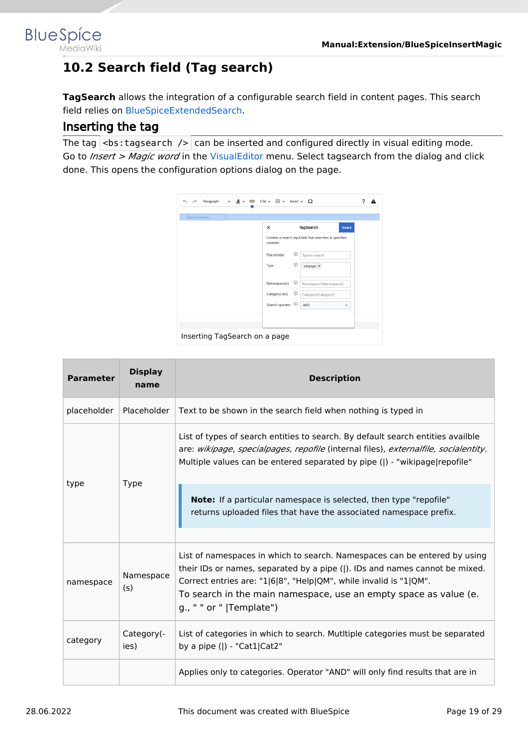<span id="page-18-0"></span>

# **10.2 Search field (Tag search)**

**TagSearch** allows the integration of a configurable search field in content pages. This search field relies on [BlueSpiceExtendedSearch](https://en.wiki.bluespice.com/wiki/Manual:Extension/BlueSpiceExtendedSearch).

### Inserting the tag

The tag  $\langle$ bs: tagsearch  $\angle$  can be inserted and configured directly in visual editing mode. Go to *Insert > Magic word* in the [VisualEditor](#page-19-0) menu. Select tagsearch from the dialog and click done. This opens the configuration options dialog on the page.



| <b>Parameter</b> | <b>Display</b><br>name | <b>Description</b>                                                                                                                                                                                                                                                                                                            |  |  |  |  |  |
|------------------|------------------------|-------------------------------------------------------------------------------------------------------------------------------------------------------------------------------------------------------------------------------------------------------------------------------------------------------------------------------|--|--|--|--|--|
| placeholder      | Placeholder            | Text to be shown in the search field when nothing is typed in                                                                                                                                                                                                                                                                 |  |  |  |  |  |
|                  |                        | List of types of search entities to search. By default search entities availble<br>are: wikipage, specialpages, repofile (internal files), externalfile, socialentity.<br>Multiple values can be entered separated by pipe ( ) - "wikipage repofile"                                                                          |  |  |  |  |  |
| type             | <b>Type</b>            | Note: If a particular namespace is selected, then type "repofile"<br>returns uploaded files that have the associated namespace prefix.                                                                                                                                                                                        |  |  |  |  |  |
| namespace        | Namespace<br>(s)       | List of namespaces in which to search. Namespaces can be entered by using<br>their IDs or names, separated by a pipe ( ). IDs and names cannot be mixed.<br>Correct entries are: "1 6 8", "Help QM", while invalid is "1 QM".<br>To search in the main namespace, use an empty space as value (e.<br>g., " " or "  Template") |  |  |  |  |  |
| category         | Category(-<br>ies)     | List of categories in which to search. Mutitiple categories must be separated<br>by a pipe $($  ) - "Cat1 Cat2"                                                                                                                                                                                                               |  |  |  |  |  |
|                  |                        | Applies only to categories. Operator "AND" will only find results that are in                                                                                                                                                                                                                                                 |  |  |  |  |  |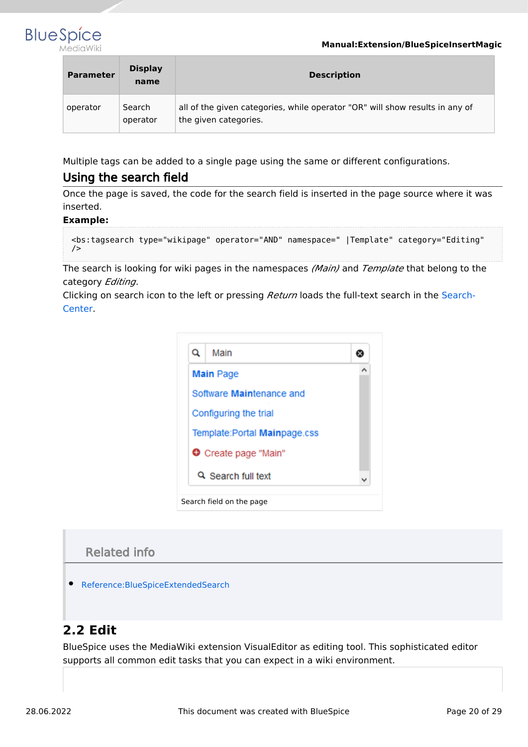#### **Manual:Extension/BlueSpiceInsertMagic**



| <b>Parameter</b> | <b>Display</b><br>name | <b>Description</b>                                                                                    |
|------------------|------------------------|-------------------------------------------------------------------------------------------------------|
| operator         | Search<br>operator     | all of the given categories, while operator "OR" will show results in any of<br>the given categories. |

Multiple tags can be added to a single page using the same or different configurations.

### Using the search field

Once the page is saved, the code for the search field is inserted in the page source where it was inserted.

#### **Example:**

```
<bs:tagsearch type="wikipage" operator="AND" namespace=" |Template" category="Editing" 
/
```
The search is looking for wiki pages in the namespaces *(Main)* and *Template* that belong to the category *Editing*.

Clicking on search icon to the left or pressing *Return* loads the full-text search in the [Search-](https://en.wiki.bluespice.com/wiki/Manual:Extension/BlueSpiceExtendedSearch)[Center.](https://en.wiki.bluespice.com/wiki/Manual:Extension/BlueSpiceExtendedSearch)

| Q | Main                          |  |
|---|-------------------------------|--|
|   | <b>Main Page</b>              |  |
|   | Software Maintenance and      |  |
|   | Configuring the trial         |  |
|   | Template: Portal Mainpage.css |  |
|   | <b>O</b> Create page "Main"   |  |
|   | Q Search full text            |  |

### Related info

[Reference:BlueSpiceExtendedSearch](https://en.wiki.bluespice.com/wiki/Reference:BlueSpiceExtendedSearch)

## <span id="page-19-0"></span>**2.2 Edit**

BlueSpice uses the MediaWiki extension VisualEditor as editing tool. This sophisticated editor supports all common edit tasks that you can expect in a wiki environment.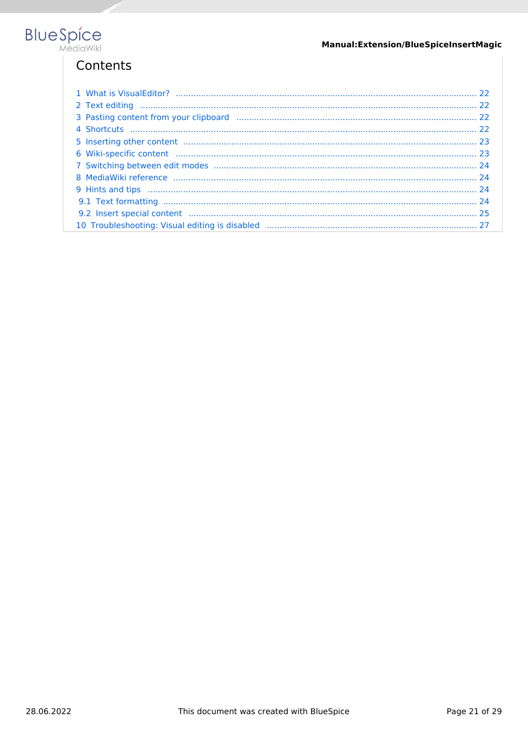

| 9.2 Insert special content manufactured and content and content and content and content and content and content |  |
|-----------------------------------------------------------------------------------------------------------------|--|
|                                                                                                                 |  |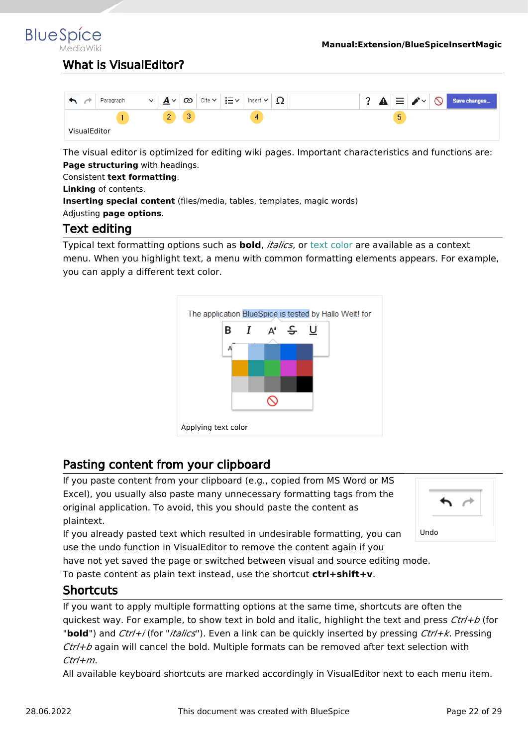<span id="page-21-0"></span>**BlueSpice** 

## What is VisualFditor?

|              | Paragraph | $\checkmark$ | $\checkmark$<br>$\mathbf{a}$<br>∸ | လ | Cite $\sim$ | i≡∽ | Insert<br>$\checkmark$ | ∸∸ |  | А | 亖                 | ∙≁ | $\infty$ | Save changes |
|--------------|-----------|--------------|-----------------------------------|---|-------------|-----|------------------------|----|--|---|-------------------|----|----------|--------------|
|              |           |              | $\overline{\phantom{a}}$<br>_     | v |             |     | 4                      |    |  |   | $\mathbf{r}$<br>◡ |    |          |              |
| VisualEditor |           |              |                                   |   |             |     |                        |    |  |   |                   |    |          |              |

The visual editor is optimized for editing wiki pages. Important characteristics and functions are: **Page structuring** with headings.

Consistent **text formatting**.

**Linking** of contents.

**Inserting special content** (files/media, tables, templates, magic words)

<span id="page-21-1"></span>Adjusting **page options**.

### Text editing

Typical text formatting options such as **bold**, *italics*, or text color are available as a context menu. When you highlight text, a menu with common formatting elements appears. For example, you can apply a different text color.



### <span id="page-21-2"></span>Pasting content from your clipboard

If you paste content from your clipboard (e.g., copied from MS Word or MS Excel), you usually also paste many unnecessary formatting tags from the original application. To avoid, this you should paste the content as plaintext.

If you already pasted text which resulted in undesirable formatting, you can use the undo function in VisualEditor to remove the content again if you



have not yet saved the page or switched between visual and source editing mode.

To paste content as plain text instead, use the shortcut **ctrl+shift+v**.

### <span id="page-21-3"></span>**Shortcuts**

If you want to apply multiple formatting options at the same time, shortcuts are often the quickest way. For example, to show text in bold and italic, highlight the text and press *Ctrl+b* (for "**bold**") and *Ctrl+i* (for "*italics*"). Even a link can be quickly inserted by pressing *Ctrl+k*. Pressing *Ctrl+b* again will cancel the bold. Multiple formats can be removed after text selection with *Ctrl+m*.

All available keyboard shortcuts are marked accordingly in VisualEditor next to each menu item.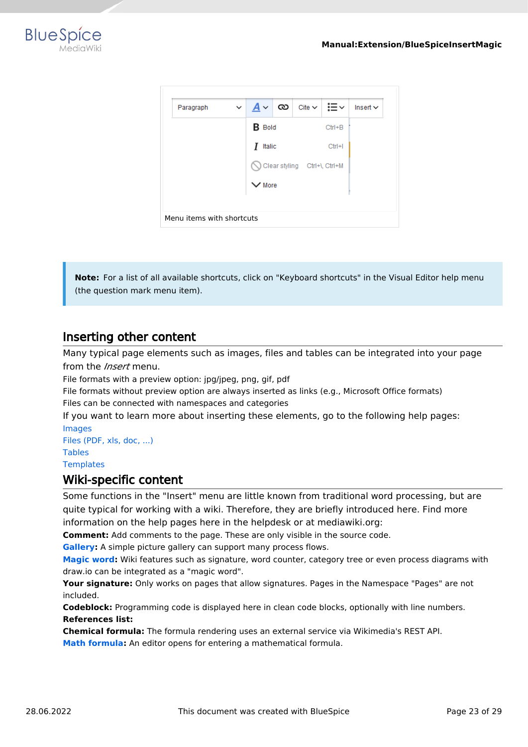



**Note:** For a list of all available shortcuts, click on "Keyboard shortcuts" in the Visual Editor help menu (the question mark menu item).

### <span id="page-22-0"></span>Inserting other content

Many typical page elements such as images, files and tables can be integrated into your page from the *Insert* menu.

File formats with a preview option: jpg/jpeg, png, gif, pdf

File formats without preview option are always inserted as links (e.g., Microsoft Office formats) Files can be connected with namespaces and categories

If you want to learn more about inserting these elements, go to the following help pages: [Images](https://en.wiki.bluespice.com/wiki/Manual:Extension/VisualEditor/Images)

[Files \(PDF, xls, doc, ...\)](https://en.wiki.bluespice.com/wiki/Manual:Extension/VisualEditor/Images) [Tables](https://en.wiki.bluespice.com/wiki/Manual:Extension/VisualEditor/Tables) **[Templates](https://en.wiki.bluespice.com/wiki/Manual:Templates)** 

#### <span id="page-22-1"></span>Wiki-specific content

Some functions in the "Insert" menu are little known from traditional word processing, but are quite typical for working with a wiki. Therefore, they are briefly introduced here. Find more information on the help pages here in the helpdesk or at mediawiki.org:

**Comment:** Add comments to the page. These are only visible in the source code.

**[Gallery:](https://www.mediawiki.org/wiki/Help:VisualEditor/User_guide#Editing_media_galleries)** A simple picture gallery can support many process flows.

**[Magic word](https://en.wiki.bluespice.com/wiki/Manual:MagicWords):** Wiki features such as signature, word counter, category tree or even process diagrams with draw.io can be integrated as a "magic word".

**Your signature:** Only works on pages that allow signatures. Pages in the Namespace "Pages" are not included.

**Codeblock:** Programming code is displayed here in clean code blocks, optionally with line numbers. **References list:**

**Chemical formula:** The formula rendering uses an external service via Wikimedia's REST API.

**[Math formula](https://www.mediawiki.org/wiki/Help:VisualEditor/User_guide/en#Editing_mathematical_formulae):** An editor opens for entering a mathematical formula.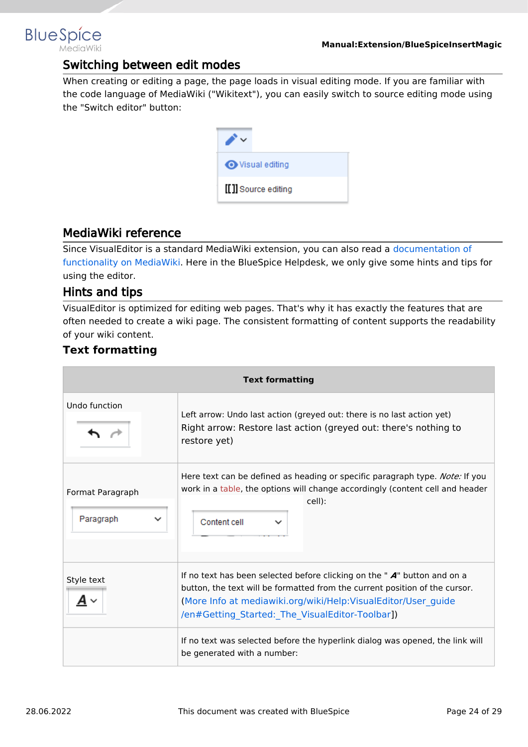### Switching between edit modes

When creating or editing a page, the page loads in visual editing mode. If you are familiar with the code language of MediaWiki ("Wikitext"), you can easily switch to source editing mode using the "Switch editor" button:



### <span id="page-23-1"></span>MediaWiki reference

Since VisualEditor is a standard MediaWiki extension, you can also read a [documentation of](https://www.mediawiki.org/wiki/Help:VisualEditor/User_guide/en%7Ccomplete)  [functionality on MediaWiki](https://www.mediawiki.org/wiki/Help:VisualEditor/User_guide/en%7Ccomplete). Here in the BlueSpice Helpdesk, we only give some hints and tips for using the editor.

#### <span id="page-23-2"></span>Hints and tips

<span id="page-23-0"></span>**BlueSpice** 

VisualEditor is optimized for editing web pages. That's why it has exactly the features that are often needed to create a wiki page. The consistent formatting of content supports the readability of your wiki content.

### <span id="page-23-3"></span>**Text formatting**

| <b>Text formatting</b>                       |                                                                                                                                                                                                                                                                                |  |  |  |  |  |
|----------------------------------------------|--------------------------------------------------------------------------------------------------------------------------------------------------------------------------------------------------------------------------------------------------------------------------------|--|--|--|--|--|
| Undo function                                | Left arrow: Undo last action (greyed out: there is no last action yet)<br>Right arrow: Restore last action (greyed out: there's nothing to<br>restore yet)                                                                                                                     |  |  |  |  |  |
| Format Paragraph<br>Paragraph<br>$\check{ }$ | Here text can be defined as heading or specific paragraph type. Note: If you<br>work in a table, the options will change accordingly (content cell and header<br>cell):<br>Content cell                                                                                        |  |  |  |  |  |
| Style text                                   | If no text has been selected before clicking on the " $A$ " button and on a<br>button, the text will be formatted from the current position of the cursor.<br>(More Info at mediawiki.org/wiki/Help:VisualEditor/User_guide<br>/en#Getting_Started:_The_VisualEditor-Toolbar]) |  |  |  |  |  |
|                                              | If no text was selected before the hyperlink dialog was opened, the link will<br>be generated with a number:                                                                                                                                                                   |  |  |  |  |  |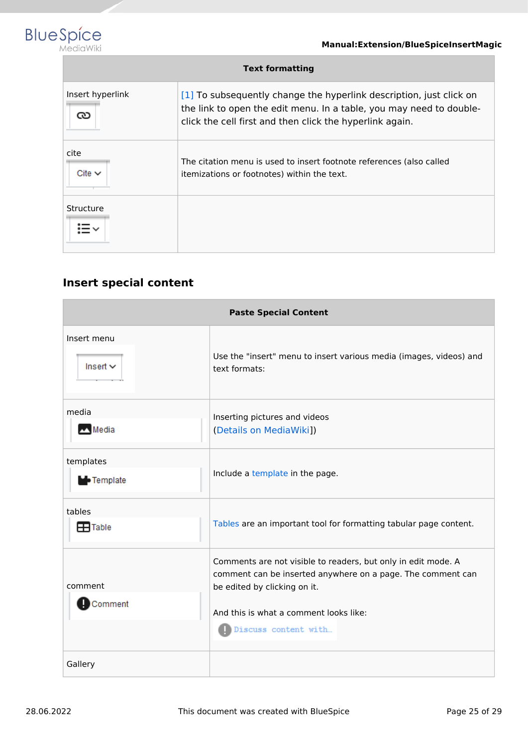

| <b>Text formatting</b> |                                                                                                                                                                                                        |  |  |  |  |  |
|------------------------|--------------------------------------------------------------------------------------------------------------------------------------------------------------------------------------------------------|--|--|--|--|--|
| Insert hyperlink<br>౧  | [1] To subsequently change the hyperlink description, just click on<br>the link to open the edit menu. In a table, you may need to double-<br>click the cell first and then click the hyperlink again. |  |  |  |  |  |
| cite<br>Cite $\vee$    | The citation menu is used to insert footnote references (also called<br>itemizations or footnotes) within the text.                                                                                    |  |  |  |  |  |
| Structure              |                                                                                                                                                                                                        |  |  |  |  |  |

# <span id="page-24-0"></span>**Insert special content**

| <b>Paste Special Content</b>   |                                                                                                                                                                                                                                |  |  |  |  |
|--------------------------------|--------------------------------------------------------------------------------------------------------------------------------------------------------------------------------------------------------------------------------|--|--|--|--|
| Insert menu<br>Insert $\vee$   | Use the "insert" menu to insert various media (images, videos) and<br>text formats:                                                                                                                                            |  |  |  |  |
| media<br>Media                 | Inserting pictures and videos<br>(Details on MediaWiki])                                                                                                                                                                       |  |  |  |  |
| templates<br><b>L</b> Template | Include a template in the page.                                                                                                                                                                                                |  |  |  |  |
| tables<br>$\mathbf{F}$ Table   | Tables are an important tool for formatting tabular page content.                                                                                                                                                              |  |  |  |  |
| comment<br>Dcomment            | Comments are not visible to readers, but only in edit mode. A<br>comment can be inserted anywhere on a page. The comment can<br>be edited by clicking on it.<br>And this is what a comment looks like:<br>Discuss content with |  |  |  |  |
| Gallery                        |                                                                                                                                                                                                                                |  |  |  |  |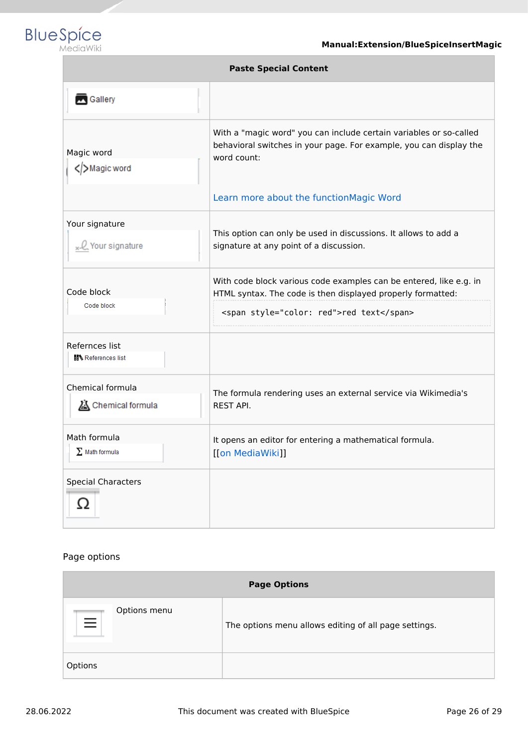

| <b>Paste Special Content</b>                |                                                                                                                                                                                                    |  |  |  |  |
|---------------------------------------------|----------------------------------------------------------------------------------------------------------------------------------------------------------------------------------------------------|--|--|--|--|
| Gallery                                     |                                                                                                                                                                                                    |  |  |  |  |
| Magic word<br>Magic word                    | With a "magic word" you can include certain variables or so-called<br>behavioral switches in your page. For example, you can display the<br>word count:<br>Learn more about the functionMagic Word |  |  |  |  |
| Your signature<br>x-Q Your signature        | This option can only be used in discussions. It allows to add a<br>signature at any point of a discussion.                                                                                         |  |  |  |  |
| Code block<br>Code block                    | With code block various code examples can be entered, like e.g. in<br>HTML syntax. The code is then displayed properly formatted:<br><span style="color: red">red text</span>                      |  |  |  |  |
| Refernces list<br><b>請V</b> References list |                                                                                                                                                                                                    |  |  |  |  |
| Chemical formula<br>Chemical formula        | The formula rendering uses an external service via Wikimedia's<br><b>REST API.</b>                                                                                                                 |  |  |  |  |
| Math formula<br>$\Sigma$ Math formula       | It opens an editor for entering a mathematical formula.<br>[[on MediaWiki]]                                                                                                                        |  |  |  |  |
| <b>Special Characters</b>                   |                                                                                                                                                                                                    |  |  |  |  |

#### Page options

| <b>Page Options</b>      |                                                       |  |  |  |  |
|--------------------------|-------------------------------------------------------|--|--|--|--|
| Options menu<br>$\equiv$ | The options menu allows editing of all page settings. |  |  |  |  |
| Options                  |                                                       |  |  |  |  |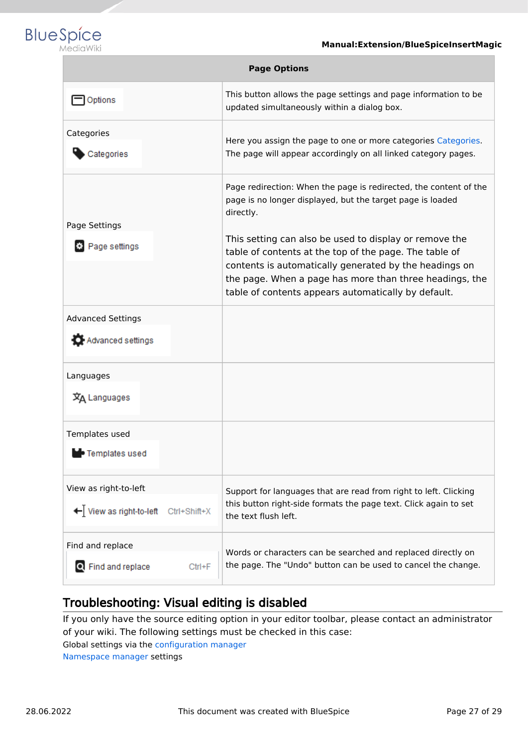

| <b>Page Options</b>                     |                                                                                                                                                                                                                                                                                              |  |  |  |  |
|-----------------------------------------|----------------------------------------------------------------------------------------------------------------------------------------------------------------------------------------------------------------------------------------------------------------------------------------------|--|--|--|--|
| Options                                 | This button allows the page settings and page information to be<br>updated simultaneously within a dialog box.                                                                                                                                                                               |  |  |  |  |
| Categories<br>Categories                | Here you assign the page to one or more categories Categories.<br>The page will appear accordingly on all linked category pages.                                                                                                                                                             |  |  |  |  |
| Page Settings                           | Page redirection: When the page is redirected, the content of the<br>page is no longer displayed, but the target page is loaded<br>directly.                                                                                                                                                 |  |  |  |  |
| Page settings                           | This setting can also be used to display or remove the<br>table of contents at the top of the page. The table of<br>contents is automatically generated by the headings on<br>the page. When a page has more than three headings, the<br>table of contents appears automatically by default. |  |  |  |  |
| <b>Advanced Settings</b>                |                                                                                                                                                                                                                                                                                              |  |  |  |  |
| Advanced settings                       |                                                                                                                                                                                                                                                                                              |  |  |  |  |
| Languages<br>文A Languages               |                                                                                                                                                                                                                                                                                              |  |  |  |  |
| Templates used                          |                                                                                                                                                                                                                                                                                              |  |  |  |  |
| • Templates used                        |                                                                                                                                                                                                                                                                                              |  |  |  |  |
| View as right-to-left                   | Support for languages that are read from right to left. Clicking                                                                                                                                                                                                                             |  |  |  |  |
| ← View as right-to-left<br>Ctrl+Shift+X | this button right-side formats the page text. Click again to set<br>the text flush left.                                                                                                                                                                                                     |  |  |  |  |
| Find and replace                        | Words or characters can be searched and replaced directly on                                                                                                                                                                                                                                 |  |  |  |  |
| Q Find and replace<br>$Ctrl + F$        | the page. The "Undo" button can be used to cancel the change.                                                                                                                                                                                                                                |  |  |  |  |

# <span id="page-26-1"></span>Troubleshooting: Visual editing is disabled

If you only have the source editing option in your editor toolbar, please contact an administrator of your wiki. The following settings must be checked in this case:

Global settings via the [configuration manager](https://en.wiki.bluespice.com/wiki/Manual:Extension/BlueSpiceConfigManager)

<span id="page-26-0"></span>[Namespace manager](https://en.wiki.bluespice.com/wiki/Manual:Extension/BlueSpiceNamespaceManager) settings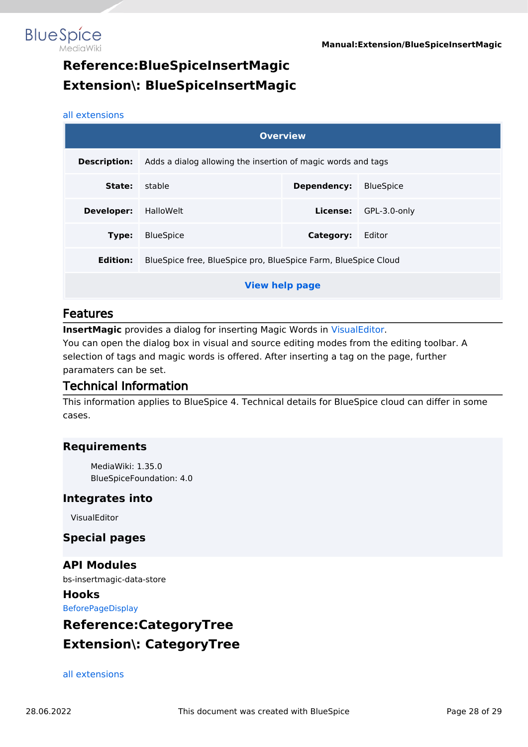

# **Reference:BlueSpiceInsertMagic Extension\: BlueSpiceInsertMagic**

#### [all extensions](https://en.wiki.bluespice.com/wiki/Category:Extension)

**BlueSpice** 

| <b>Overview</b>       |                                                                |              |  |  |  |  |  |
|-----------------------|----------------------------------------------------------------|--------------|--|--|--|--|--|
| <b>Description:</b>   | Adds a dialog allowing the insertion of magic words and tags   |              |  |  |  |  |  |
| State:                | stable<br><b>BlueSpice</b><br>Dependency:                      |              |  |  |  |  |  |
| <b>Developer:</b>     | HalloWelt                                                      | GPL-3.0-only |  |  |  |  |  |
| Type:                 | <b>BlueSpice</b>                                               | Editor       |  |  |  |  |  |
| Edition:              | BlueSpice free, BlueSpice pro, BlueSpice Farm, BlueSpice Cloud |              |  |  |  |  |  |
| <b>View help page</b> |                                                                |              |  |  |  |  |  |

#### Features

**InsertMagic** provides a dialog for inserting Magic Words in [VisualEditor](#page-19-0).

You can open the dialog box in visual and source editing modes from the editing toolbar. A selection of tags and magic words is offered. After inserting a tag on the page, further paramaters can be set.

#### Technical Information

This information applies to BlueSpice 4. Technical details for BlueSpice cloud can differ in some cases.

#### **Requirements**

MediaWiki: 1.35.0 BlueSpiceFoundation: 4.0

#### **Integrates into**

VisualEditor

#### **Special pages**

**API Modules** bs-insertmagic-data-store

**Hooks** [BeforePageDisplay](https://www.mediawiki.org/wiki/Manual:Hooks/BeforePageDisplay)

# <span id="page-27-0"></span>**Reference:CategoryTree Extension\: CategoryTree**

#### [all extensions](https://en.wiki.bluespice.com/wiki/Category:Extension)